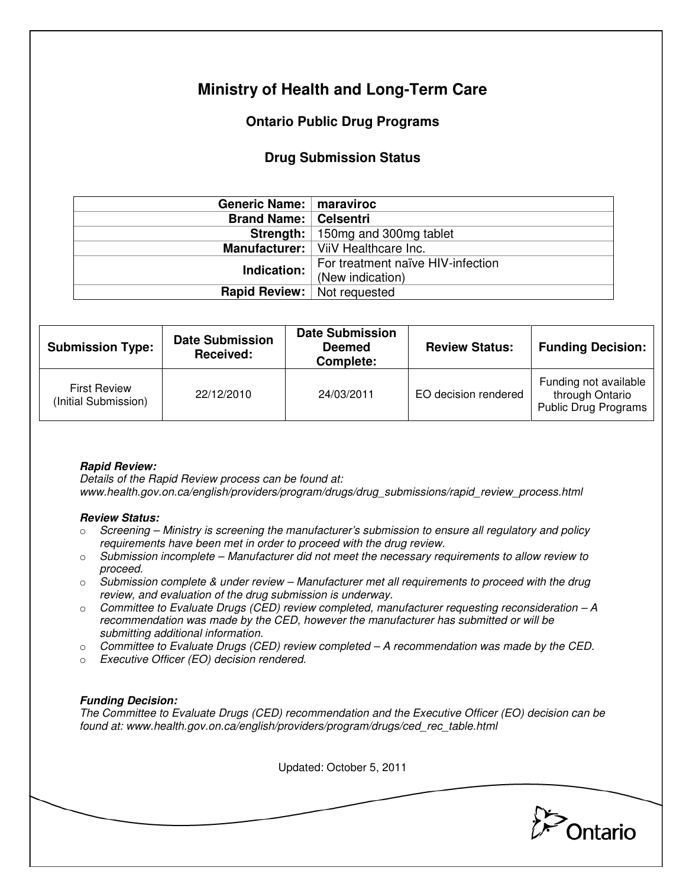# **Ministry of Health and Long-Term Care**

## **Ontario Public Drug Programs**

### **Drug Submission Status**

| Generic Name:   maraviroc            |                                             |  |  |
|--------------------------------------|---------------------------------------------|--|--|
| <b>Brand Name:   Celsentri</b>       |                                             |  |  |
|                                      | <b>Strength:</b> 150mg and 300mg tablet     |  |  |
|                                      | <b>Manufacturer:</b>   ViiV Healthcare Inc. |  |  |
| Indication:                          | For treatment naïve HIV-infection           |  |  |
|                                      | (New indication)                            |  |  |
| <b>Rapid Review:</b>   Not requested |                                             |  |  |

| <b>Submission Type:</b>                     | <b>Date Submission</b><br>Received: | <b>Date Submission</b><br><b>Deemed</b><br>Complete: | <b>Review Status:</b> | <b>Funding Decision:</b>                                         |
|---------------------------------------------|-------------------------------------|------------------------------------------------------|-----------------------|------------------------------------------------------------------|
| <b>First Review</b><br>(Initial Submission) | 22/12/2010                          | 24/03/2011                                           | EO decision rendered  | Funding not available<br>through Ontario<br>Public Drug Programs |

### **Rapid Review:**

Details of the Rapid Review process can be found at: www.health.gov.on.ca/english/providers/program/drugs/drug\_submissions/rapid\_review\_process.html

#### **Review Status:**

- $\circ$  Screening Ministry is screening the manufacturer's submission to ensure all regulatory and policy requirements have been met in order to proceed with the drug review.
- $\circ$  Submission incomplete Manufacturer did not meet the necessary requirements to allow review to proceed.
- $\circ$  Submission complete & under review Manufacturer met all requirements to proceed with the drug review, and evaluation of the drug submission is underway.
- $\circ$  Committee to Evaluate Drugs (CED) review completed, manufacturer requesting reconsideration  $-A$ recommendation was made by the CED, however the manufacturer has submitted or will be submitting additional information.
- $\circ$  Committee to Evaluate Drugs (CED) review completed A recommendation was made by the CED.
- o Executive Officer (EO) decision rendered.

### **Funding Decision:**

The Committee to Evaluate Drugs (CED) recommendation and the Executive Officer (EO) decision can be found at: www.health.gov.on.ca/english/providers/program/drugs/ced\_rec\_table.html

Updated: October 5, 2011